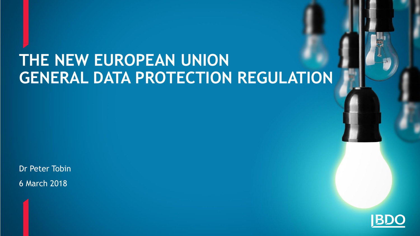#### **THE NEW EUROPEAN UNION GENERAL DATA PROTECTION REGULATION**

Dr Peter Tobin 6 March 2018

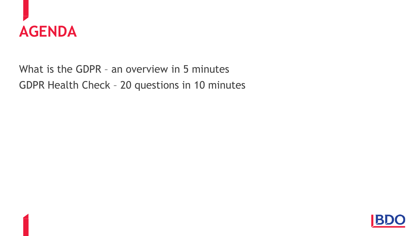

What is the GDPR – an overview in 5 minutes GDPR Health Check – 20 questions in 10 minutes

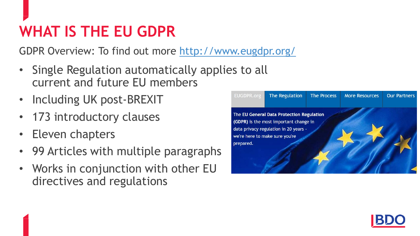GDPR Overview: To find out more <http://www.eugdpr.org/>

- Single Regulation automatically applies to all current and future EU members
- Including UK post-BREXIT
- 173 introductory clauses
- Eleven chapters
- 99 Articles with multiple paragraphs
- Works in conjunction with other EU directives and regulations



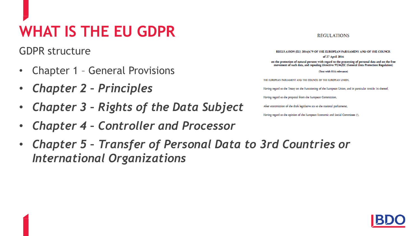GDPR structure

- Chapter 1 General Provisions
- *Chapter 2 – Principles*
- *Chapter 3 – Rights of the Data Subject*
- *Chapter 4 – Controller and Processor*

#### **REGULATIONS**

REGULATION (EU) 2016/679 OF THE EUROPEAN PARLIAMENT AND OF THE COUNCIL of 27 April 2016 on the protection of natural persons with regard to the processing of personal data and on the free movement of such data, and repealing Directive 95/46/EC (General Data Protection Regulation) (Text with EEA relevance) THE EUROPEAN PARLIAMENT AND THE COUNCIL OF THE EUROPEAN UNION Having regard to the Treaty on the Functioning of the European Union, and in particular Article 16 thereof, Having regard to the proposal from the European Commission. After transmission of the draft legislative act to the national parliaments,

Having regard to the opinion of the European Economic and Social Committee ('),

• *Chapter 5 – Transfer of Personal Data to 3rd Countries or International Organizations* 

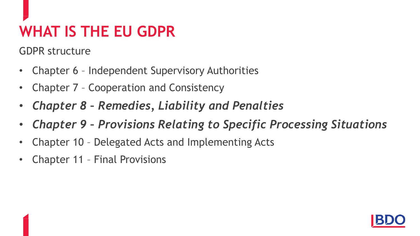GDPR structure

- Chapter 6 Independent Supervisory Authorities
- Chapter 7 Cooperation and Consistency
- *Chapter 8 – Remedies, Liability and Penalties*
- *Chapter 9 – Provisions Relating to Specific Processing Situations*
- Chapter 10 Delegated Acts and Implementing Acts
- Chapter 11 Final Provisions

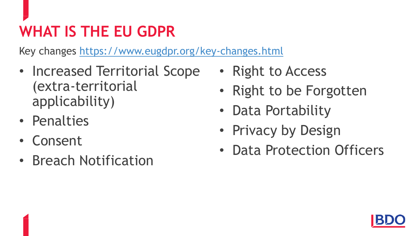Key changes<https://www.eugdpr.org/key-changes.html>

- Increased Territorial Scope (extra-territorial applicability)
- Penalties
- Consent
- Breach Notification
- Right to Access
- Right to be Forgotten
- Data Portability
- Privacy by Design
- Data Protection Officers

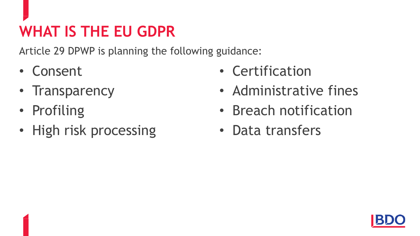Article 29 DPWP is planning the following guidance:

- Consent
- Transparency
- Profiling
- High risk processing
- Certification
- Administrative fines
- Breach notification
- Data transfers

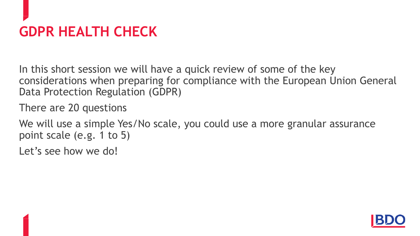# **GDPR HEALTH CHECK**

In this short session we will have a quick review of some of the key considerations when preparing for compliance with the European Union General Data Protection Regulation (GDPR)

There are 20 questions

We will use a simple Yes/No scale, you could use a more granular assurance point scale (e.g. 1 to 5)

Let's see how we do!

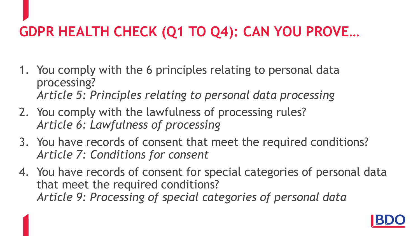#### **GDPR HEALTH CHECK (Q1 TO Q4): CAN YOU PROVE…**

- 1. You comply with the 6 principles relating to personal data processing? *Article 5: Principles relating to personal data processing*
- 2. You comply with the lawfulness of processing rules? *Article 6: Lawfulness of processing*
- 3. You have records of consent that meet the required conditions? *Article 7: Conditions for consent*
- 4. You have records of consent for special categories of personal data that meet the required conditions? *Article 9: Processing of special categories of personal data*

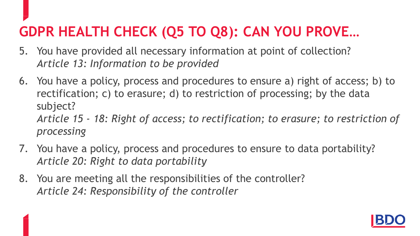#### **GDPR HEALTH CHECK (Q5 TO Q8): CAN YOU PROVE…**

- 5. You have provided all necessary information at point of collection? *Article 13: Information to be provided*
- 6. You have a policy, process and procedures to ensure a) right of access; b) to rectification; c) to erasure; d) to restriction of processing; by the data subject? *Article 15 - 18: Right of access; to rectification; to erasure; to restriction of processing*
- 7. You have a policy, process and procedures to ensure to data portability? *Article 20: Right to data portability*
- 8. You are meeting all the responsibilities of the controller? *Article 24: Responsibility of the controller*

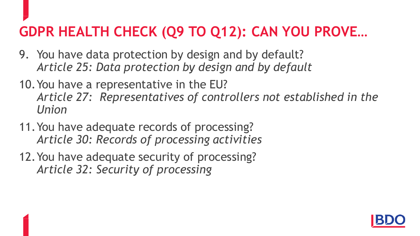#### **GDPR HEALTH CHECK (Q9 TO Q12): CAN YOU PROVE…**

- 9. You have data protection by design and by default? *Article 25: Data protection by design and by default*
- 10.You have a representative in the EU? *Article 27: Representatives of controllers not established in the Union*
- 11.You have adequate records of processing? *Article 30: Records of processing activities*
- 12.You have adequate security of processing? *Article 32: Security of processing*

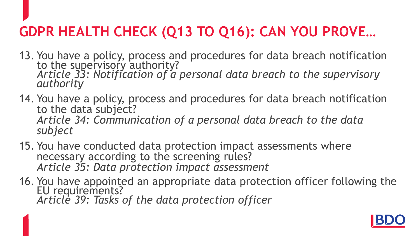#### **GDPR HEALTH CHECK (Q13 TO Q16): CAN YOU PROVE…**

- 13. You have a policy, process and procedures for data breach notification to the supervisory authority? *Article 33: Notification of a personal data breach to the supervisory authority*
- 14. You have a policy, process and procedures for data breach notification to the data subject? *Article 34: Communication of a personal data breach to the data subject*
- 15. You have conducted data protection impact assessments where necessary according to the screening rules? *Article 35: Data protection impact assessment*
- 16. You have appointed an appropriate data protection officer following the EU requirements? *Article 39: Tasks of the data protection officer*

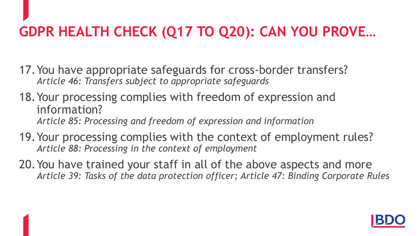# **GDPR HEALTH CHECK (Q17 TO Q20): CAN YOU PROVE…**

- 17.You have appropriate safeguards for cross-border transfers? *Article 46: Transfers subject to appropriate safeguards*
- 18.Your processing complies with freedom of expression and information? *Article 85: Processing and freedom of expression and information*
- 19.Your processing complies with the context of employment rules? *Article 88: Processing in the context of employment*
- 20.You have trained your staff in all of the above aspects and more *Article 39: Tasks of the data protection officer; Article 47: Binding Corporate Rules*